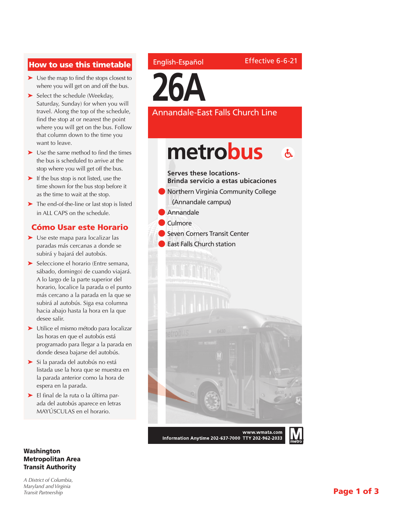## How to use this timetable

- ➤ Use the map to find the stops closest to where you will get on and off the bus.
- ➤ Select the schedule (Weekday, Saturday, Sunday) for when you will travel. Along the top of the schedule, find the stop at or nearest the point where you will get on the bus. Follow that column down to the time you want to leave.
- ➤ Use the same method to find the times the bus is scheduled to arrive at the stop where you will get off the bus.
- ➤ If the bus stop is not listed, use the time shown for the bus stop before it as the time to wait at the stop.
- ➤ The end-of-the-line or last stop is listed in ALL CAPS on the schedule.

### Cómo Usar este Horario

- ➤ Use este mapa para localizar las paradas más cercanas a donde se subirá y bajará del autobús.
- ➤ Seleccione el horario (Entre semana, sábado, domingo) de cuando viajará. A lo largo de la parte superior del horario, localice la parada o el punto más cercano a la parada en la que se subirá al autobús. Siga esa columna hacia abajo hasta la hora en la que desee salir.
- ➤ Utilice el mismo método para localizar las horas en que el autobús está programado para llegar a la parada en donde desea bajarse del autobús.
- ➤ Si la parada del autobús no está listada use la hora que se muestra en la parada anterior como la hora de espera en la parada.
- ➤ El final de la ruta o la última parada del autobús aparece en letras MAYÚSCULAS en el horario.

#### Washington Metropolitan Area Transit Authority

*A District of Columbia, Maryland and Virginia Transit Partnership*

### English-Español

**26A**

Annandale-East Falls Church Line

Effective 6-6-21

metrobus  $\mathbf{A}$ **Serves these locations-Brinda servicio a estas ubicaciones Northern Virginia Community College** (Annandale campus) **Annandale Culmore** l Seven Corners Transit Center **East Falls Church station** www.wmata.com Information Anytime 202-637-7000 TTY 202-962-2033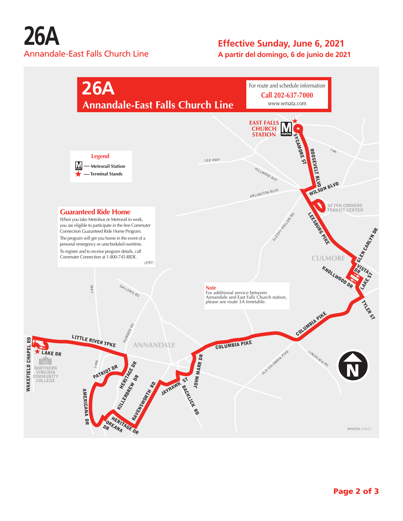# **26A** Annandale-East Falls Church Line

## **Effective Sunday, June 6, 2021**

**A partir del domingo, 6 de junio de 2021**